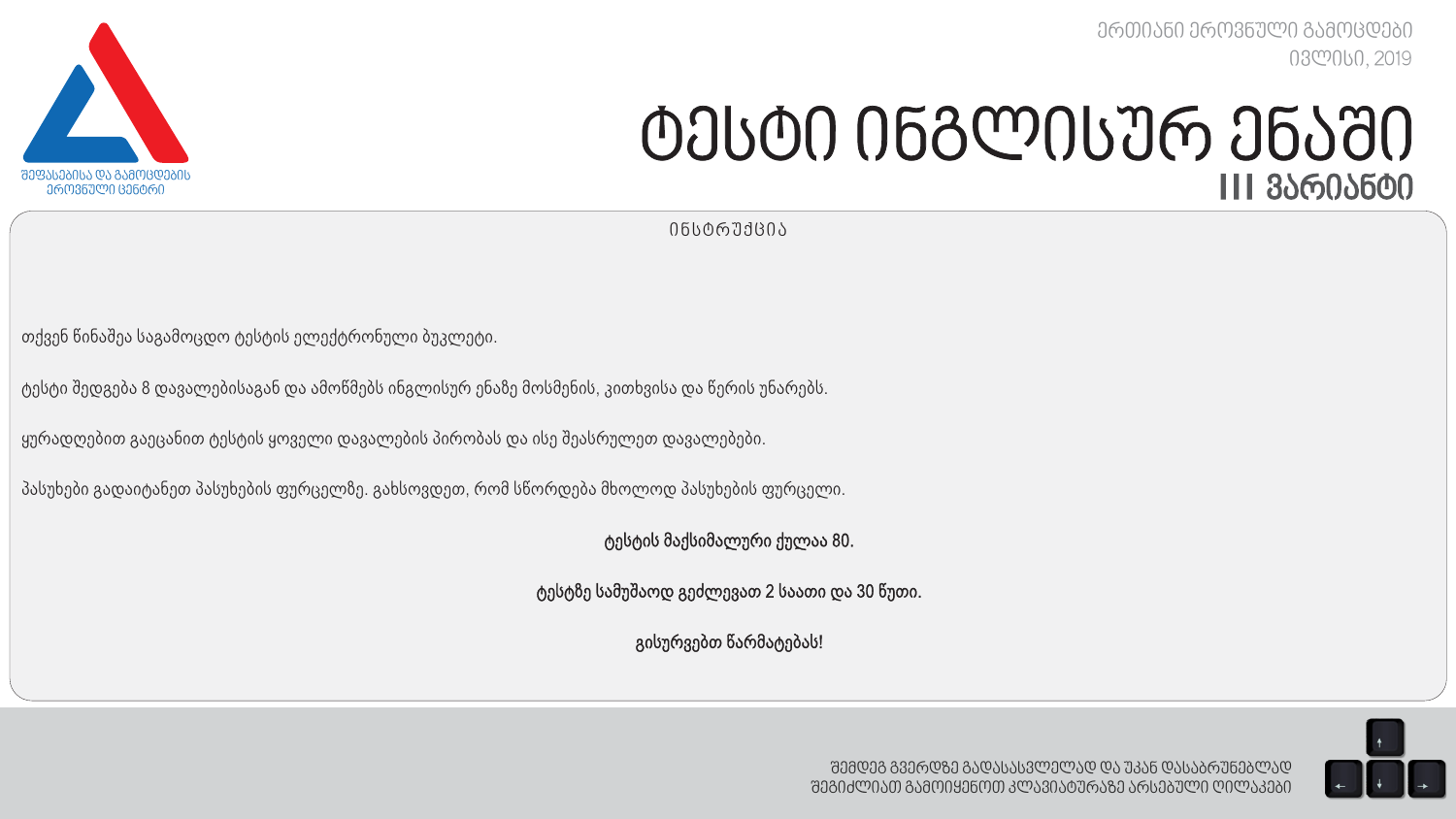*ერთიანი ეროვნული გამოცდები ივლისი, 2019*



# *ტესტი ინგლისურ ენაში I I I ვარიანტი*

*ინსტრუქცია*

თქვენ წინაშეა საგამოცდო ტესტის ელექტრონული ბუკლეტი.

ტესტი შედგება 8 დავალებისაგან და ამოწმებს ინგლისურ ენაზე მოსმენის, კითხვისა და წერის უნარებს.

ყურადღებით გაეცანით ტესტის ყოველი დავალების პირობას და ისე შეასრულეთ დავალებები.

პასუხები გადაიტანეთ პასუხების ფურცელზე. გახსოვდეთ, რომ სწორდება მხოლოდ პასუხების ფურცელი.

ტესტის მაქსიმალური ქულაა 80.

ტესტზე სამუშაოდ გეძლევათ 2 საათი და 30 წუთი.

გისურვებთ წარმატებას!

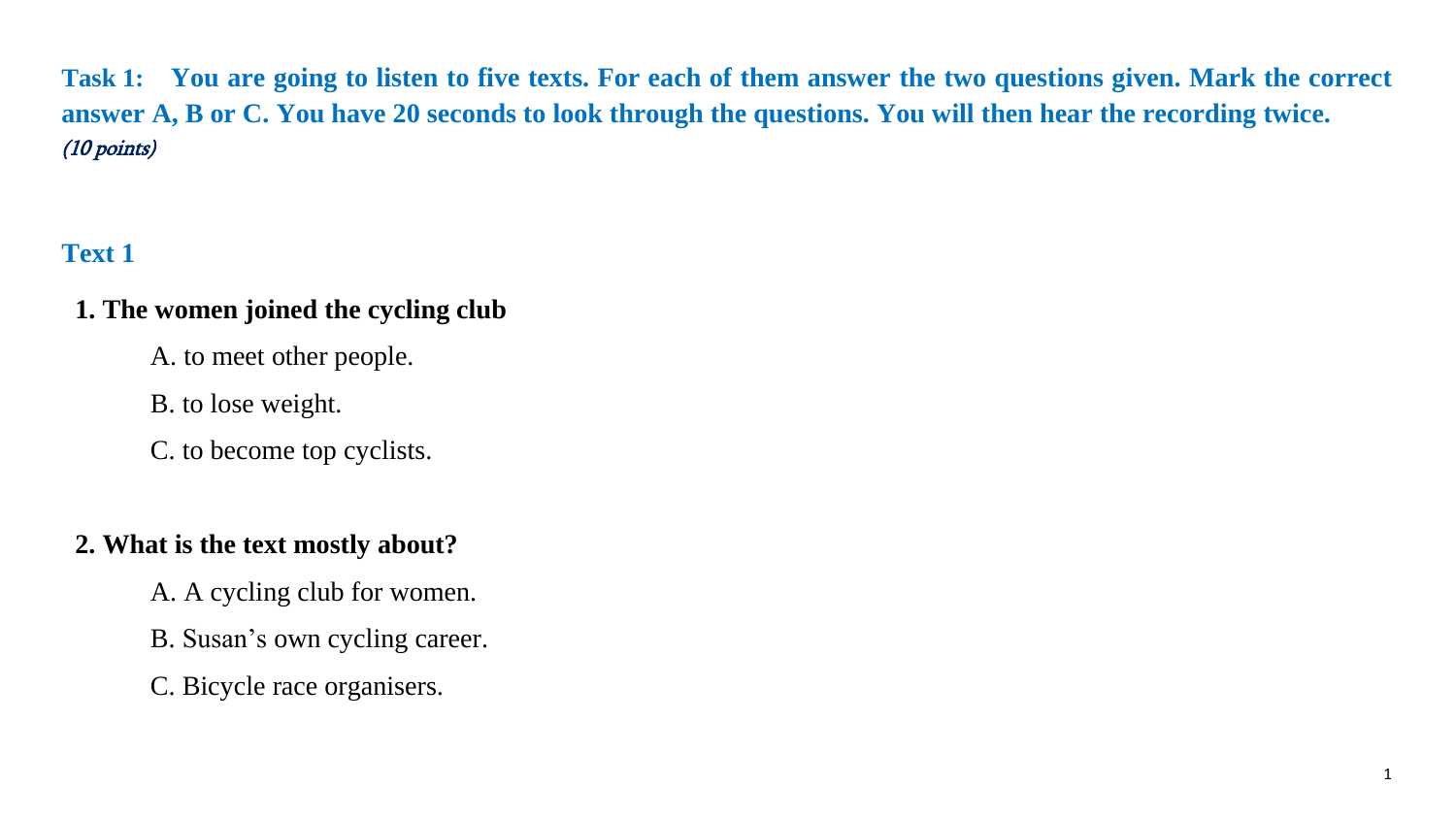**Task 1: You are going to listen to five texts. For each of them answer the two questions given. Mark the correct answer A, B or C. You have 20 seconds to look through the questions. You will then hear the recording twice.**  (10 points)

# **Text 1**

## **1. The women joined the cycling club**

A. to meet other people.

B. to lose weight.

C. to become top cyclists.

## **2. What is the text mostly about?**

A. A cycling club for women.

B. Susan's own cycling career.

C. Bicycle race organisers.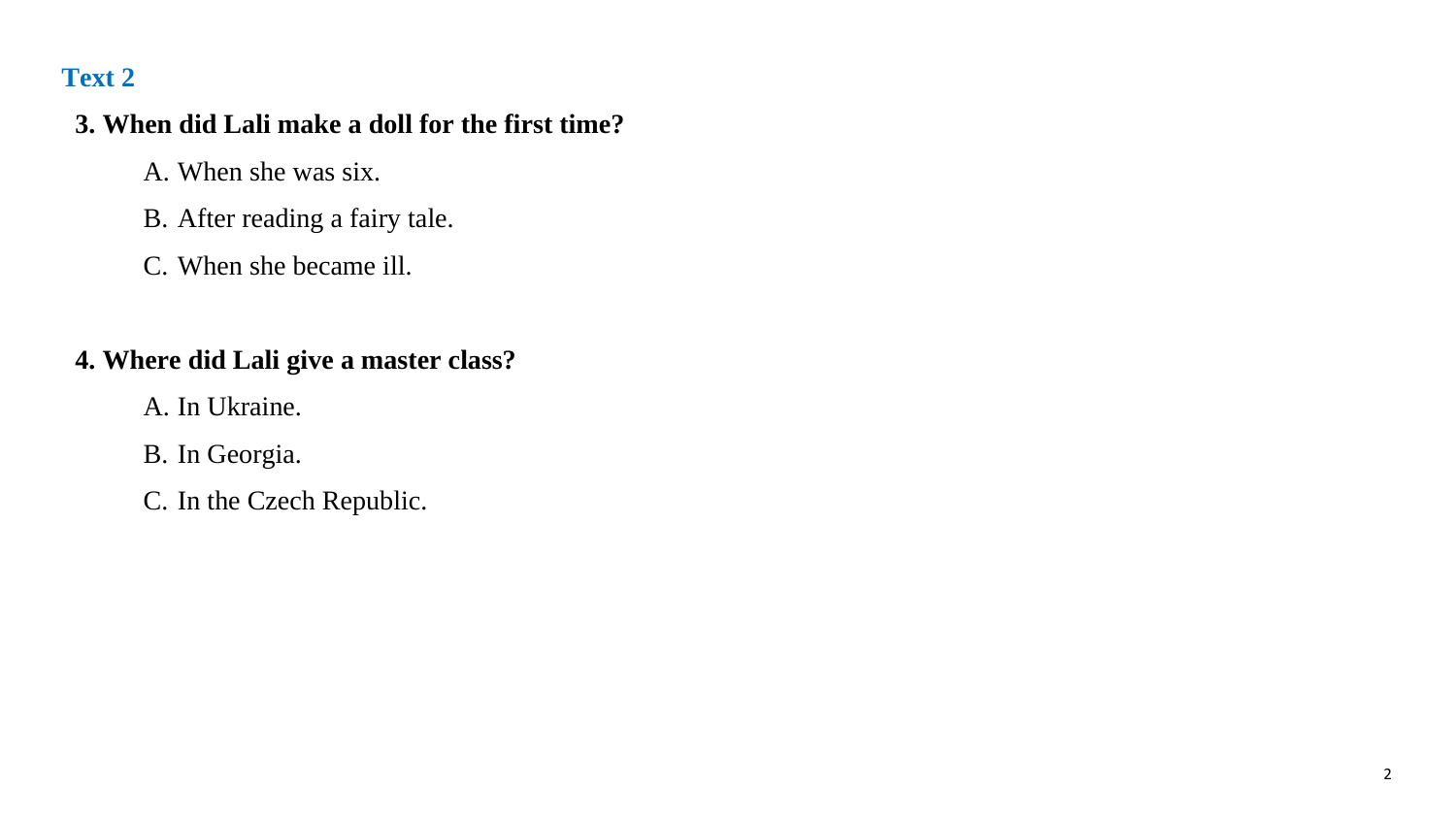#### **3. When did Lali make a doll for the first time?**

- A. When she was six.
- B. After reading a fairy tale.
- C. When she became ill.

## **4. Where did Lali give a master class?**

- A. In Ukraine.
- B. In Georgia.
- C. In the Czech Republic.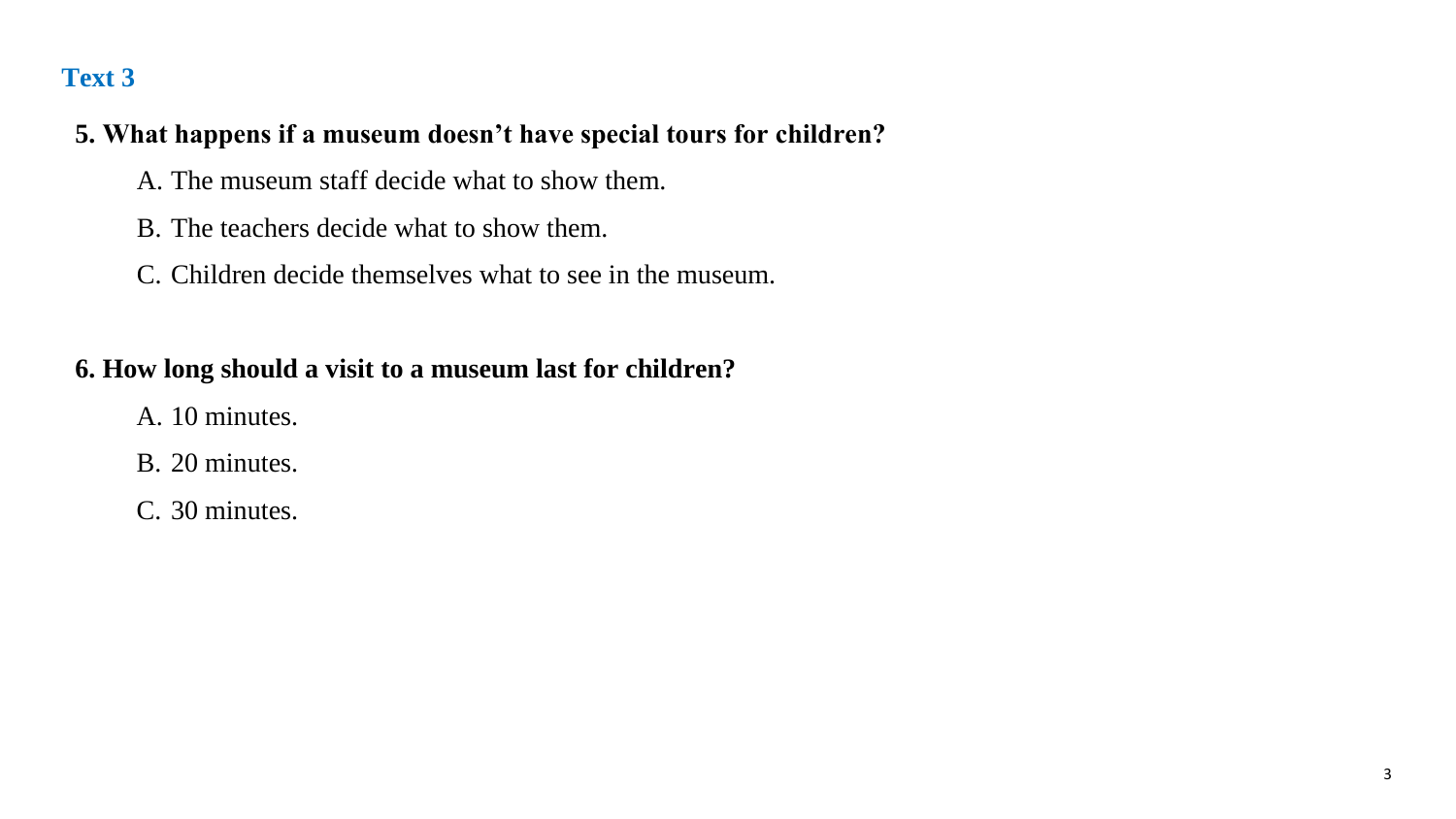#### **5. What happens if a museum doesn't have special tours for children?**

- A. The museum staff decide what to show them.
- B. The teachers decide what to show them.
- C. Children decide themselves what to see in the museum.

## **6. How long should a visit to a museum last for children?**

- A. 10 minutes.
- B. 20 minutes.
- C. 30 minutes.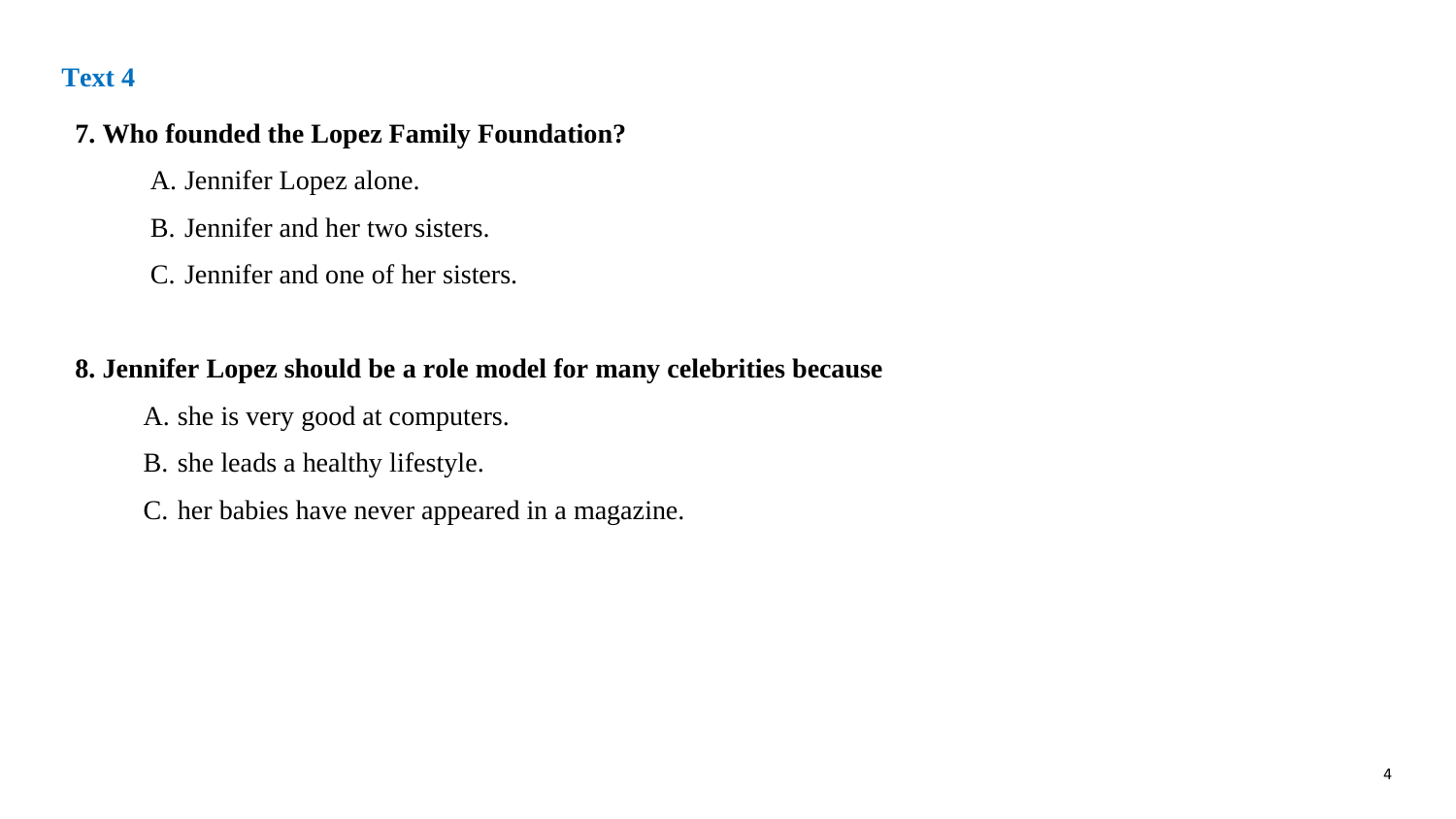#### **7. Who founded the Lopez Family Foundation?**

- A. Jennifer Lopez alone.
- B. Jennifer and her two sisters.
- C. Jennifer and one of her sisters.

#### **8. Jennifer Lopez should be a role model for many celebrities because**

- A. she is very good at computers.
- B. she leads a healthy lifestyle.
- C. her babies have never appeared in a magazine.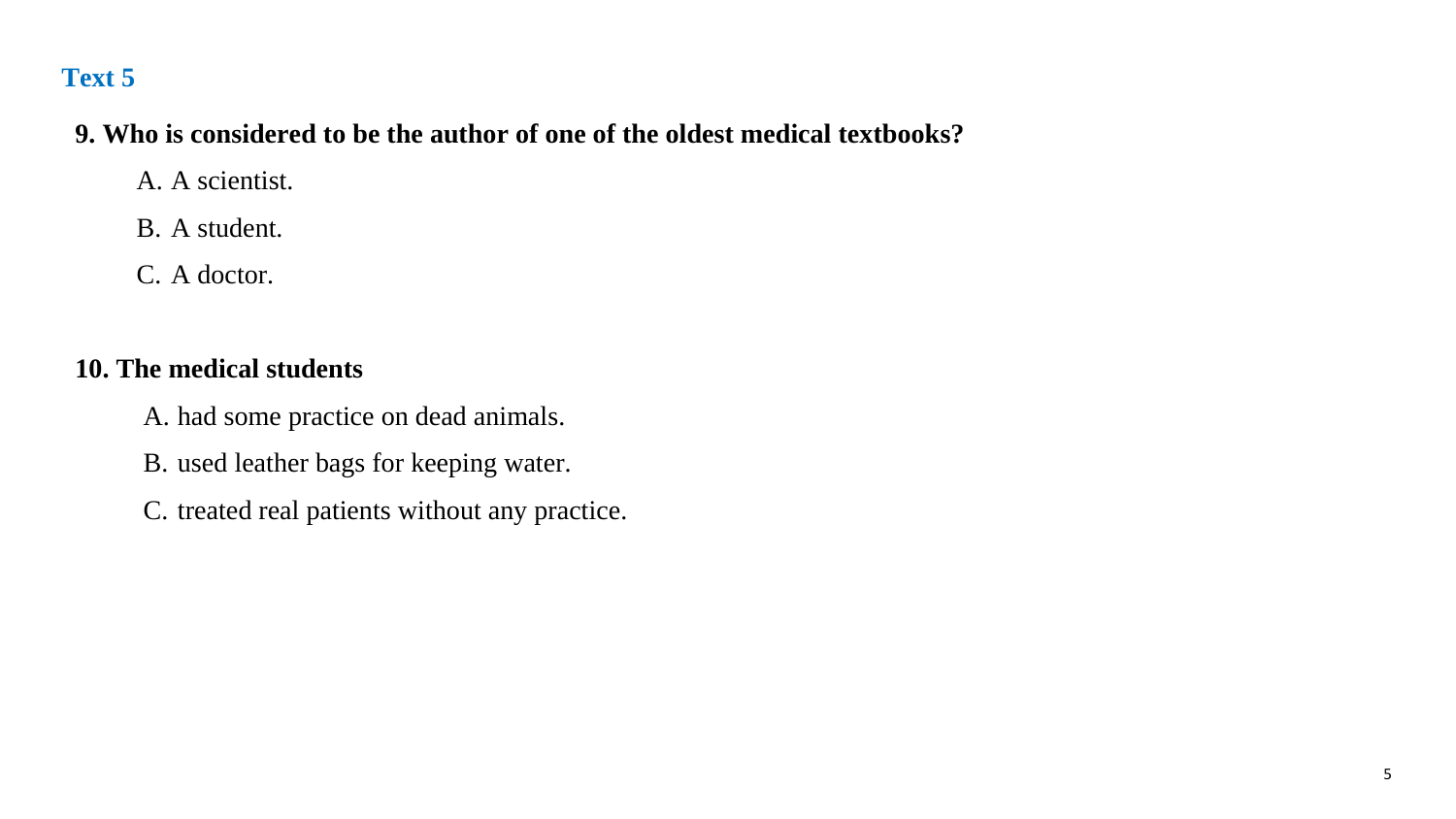#### **9. Who is considered to be the author of one of the oldest medical textbooks?**

A. A scientist.

B. A student.

C. A doctor.

### **10. The medical students**

A. had some practice on dead animals.

B. used leather bags for keeping water.

C. treated real patients without any practice.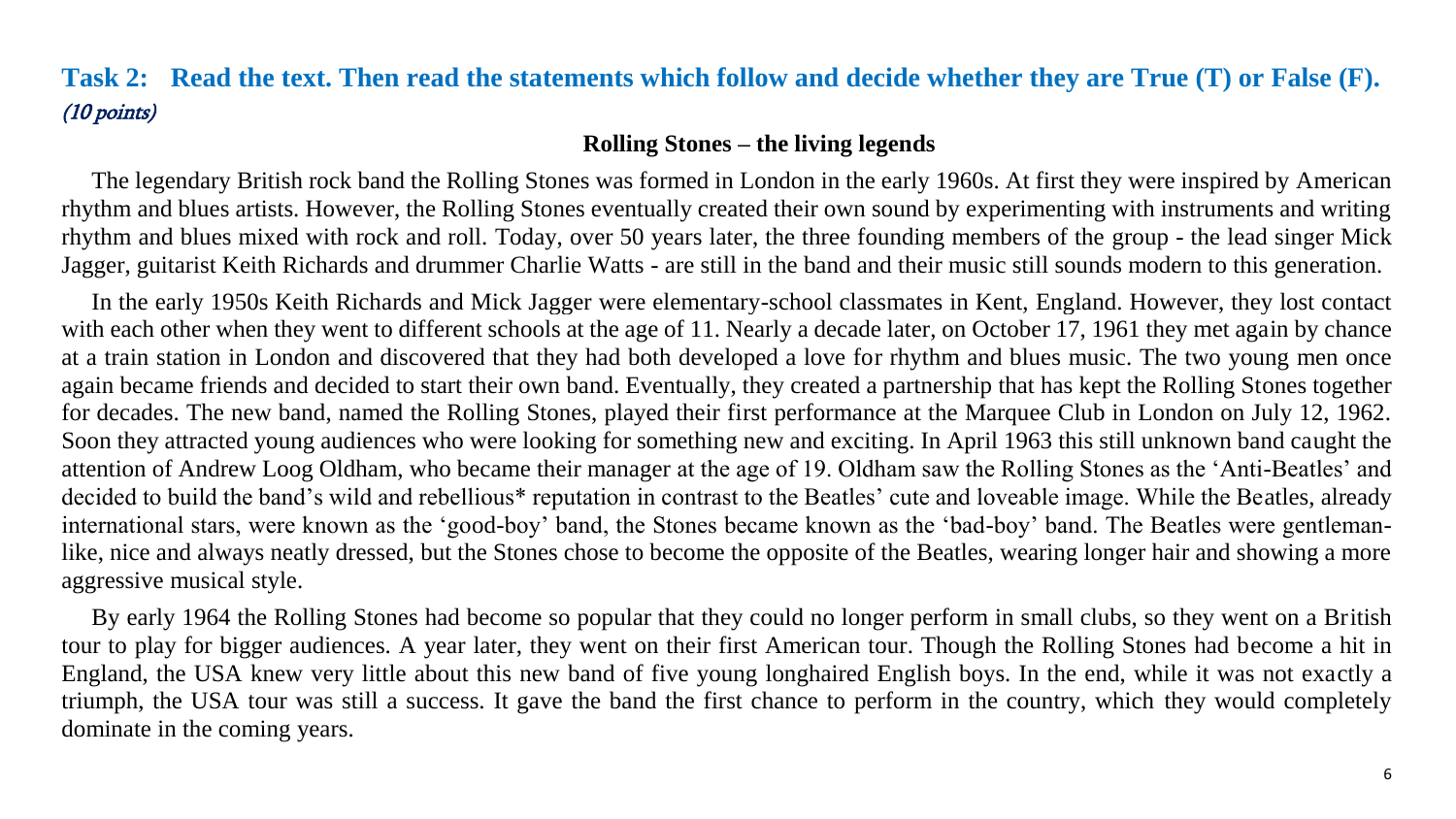## **Task 2: Read the text. Then read the statements which follow and decide whether they are True (T) or False (F).** (10 points)

#### **Rolling Stones – the living legends**

 The legendary British rock band the Rolling Stones was formed in London in the early 1960s. At first they were inspired by American rhythm and blues artists. However, the Rolling Stones eventually created their own sound by experimenting with instruments and writing rhythm and blues mixed with rock and roll. Today, over 50 years later, the three founding members of the group - the lead singer Mick Jagger, guitarist Keith Richards and drummer Charlie Watts - are still in the band and their music still sounds modern to this generation.

 In the early 1950s Keith Richards and Mick Jagger were elementary-school classmates in Kent, England. However, they lost contact with each other when they went to different schools at the age of 11. Nearly a decade later, on October 17, 1961 they met again by chance at a train station in London and discovered that they had both developed a love for rhythm and blues music. The two young men once again became friends and decided to start their own band. Eventually, they created a partnership that has kept the Rolling Stones together for decades. The new band, named the Rolling Stones, played their first performance at the Marquee Club in London on July 12, 1962. Soon they attracted young audiences who were looking for something new and exciting. In April 1963 this still unknown band caught the attention of Andrew Loog Oldham, who became their manager at the age of 19. Oldham saw the Rolling Stones as the 'Anti-Beatles' and decided to build the band's wild and rebellious\* reputation in contrast to the Beatles' cute and loveable image. While the Beatles, already international stars, were known as the 'good-boy' band, the Stones became known as the 'bad-boy' band. The Beatles were gentlemanlike, nice and always neatly dressed, but the Stones chose to become the opposite of the Beatles, wearing longer hair and showing a more aggressive musical style.

 By early 1964 the Rolling Stones had become so popular that they could no longer perform in small clubs, so they went on a British tour to play for bigger audiences. A year later, they went on their first American tour. Though the Rolling Stones had become a hit in England, the USA knew very little about this new band of five young longhaired English boys. In the end, while it was not exactly a triumph, the USA tour was still a success. It gave the band the first chance to perform in the country, which they would completely dominate in the coming years.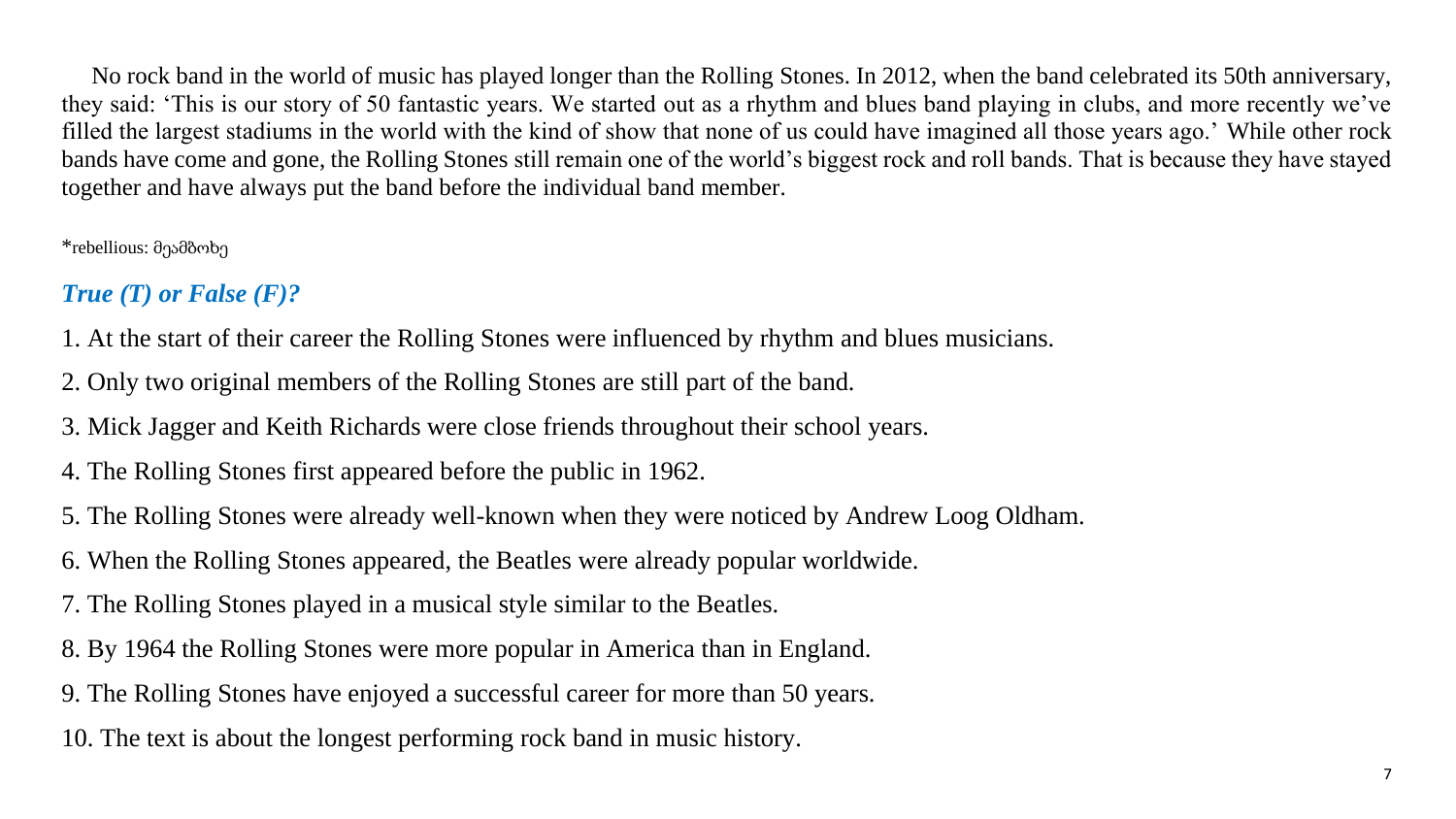No rock band in the world of music has played longer than the Rolling Stones. In 2012, when the band celebrated its 50th anniversary, they said: 'This is our story of 50 fantastic years. We started out as a rhythm and blues band playing in clubs, and more recently we've filled the largest stadiums in the world with the kind of show that none of us could have imagined all those years ago.' While other rock bands have come and gone, the Rolling Stones still remain one of the world's biggest rock and roll bands. That is because they have stayed together and have always put the band before the individual band member.

\*rebellious: მეამბოხე

## *True (T) or False (F)?*

1. At the start of their career the Rolling Stones were influenced by rhythm and blues musicians.

- 2. Only two original members of the Rolling Stones are still part of the band.
- 3. Mick Jagger and Keith Richards were close friends throughout their school years.
- 4. The Rolling Stones first appeared before the public in 1962.
- 5. The Rolling Stones were already well-known when they were noticed by Andrew Loog Oldham.
- 6. When the Rolling Stones appeared, the Beatles were already popular worldwide.
- 7. The Rolling Stones played in a musical style similar to the Beatles.
- 8. By 1964 the Rolling Stones were more popular in America than in England.
- 9. The Rolling Stones have enjoyed a successful career for more than 50 years.

10. The text is about the longest performing rock band in music history.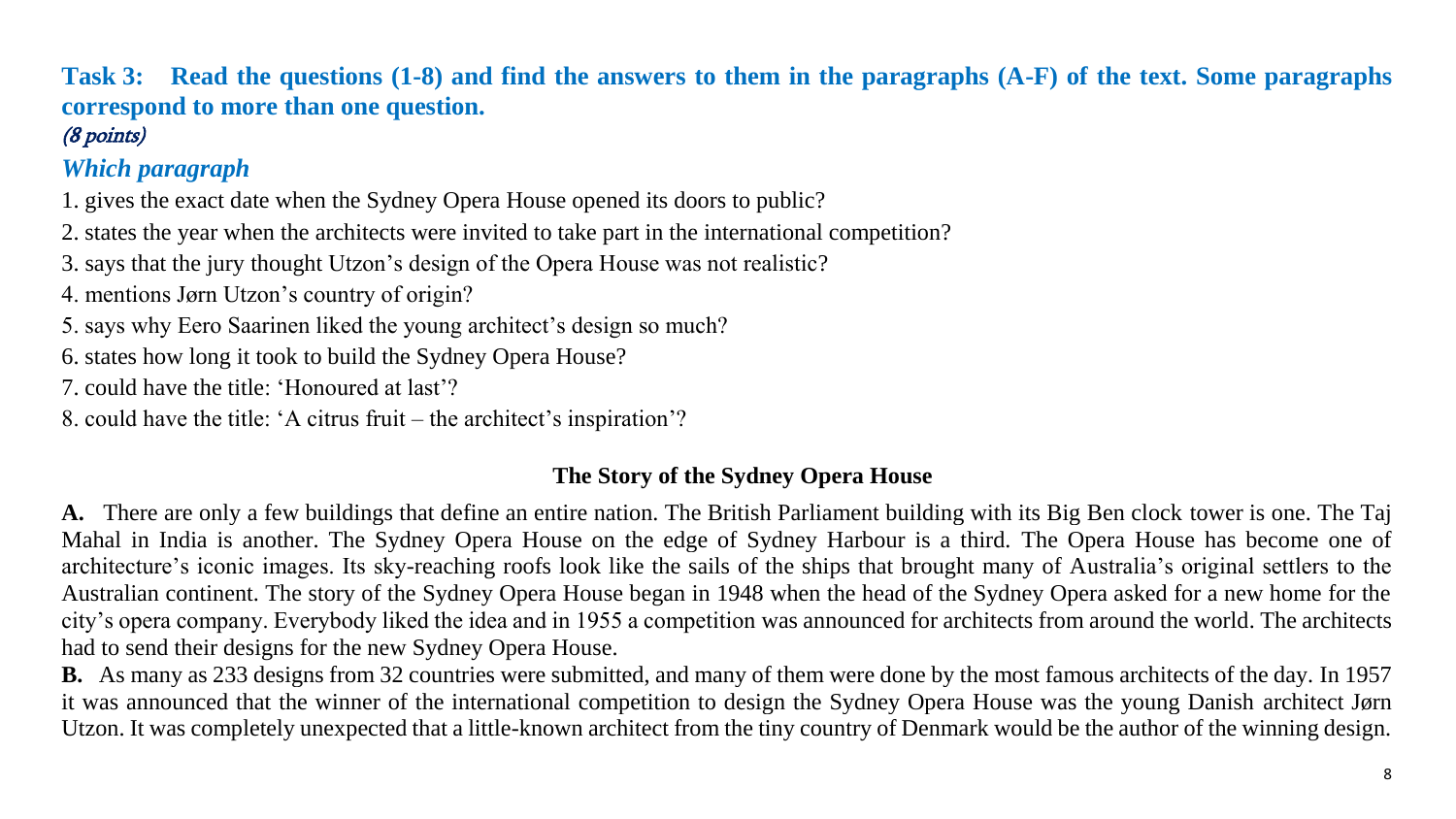## **Task 3: Read the questions (1-8) and find the answers to them in the paragraphs (A-F) of the text. Some paragraphs correspond to more than one question.**

## (8 points)

## *Which paragraph*

- 1. gives the exact date when the Sydney Opera House opened its doors to public?
- 2. states the year when the architects were invited to take part in the international competition?
- 3. says that the jury thought Utzon's design of the Opera House was not realistic?
- 4. mentions Jørn Utzon's country of origin?
- 5. says why Eero Saarinen liked the young architect's design so much?
- 6. states how long it took to build the Sydney Opera House?
- 7. could have the title: 'Honoured at last'?
- 8. could have the title: 'A citrus fruit the architect's inspiration'?

#### **The Story of the Sydney Opera House**

**A.** There are only a few buildings that define an entire nation. The British Parliament building with its Big Ben clock tower is one. The Taj Mahal in India is another. The Sydney Opera House on the edge of Sydney Harbour is a third. The Opera House has become one of architecture's iconic images. Its sky-reaching roofs look like the sails of the ships that brought many of Australia's original settlers to the Australian continent. The story of the Sydney Opera House began in 1948 when the head of the Sydney Opera asked for a new home for the city's opera company. Everybody liked the idea and in 1955 a competition was announced for architects from around the world. The architects had to send their designs for the new Sydney Opera House.

**B.** As many as 233 designs from 32 countries were submitted, and many of them were done by the most famous architects of the day. In 1957 it was announced that the winner of the international competition to design the Sydney Opera House was the young Danish architect Jørn Utzon. It was completely unexpected that a little-known architect from the tiny country of Denmark would be the author of the winning design.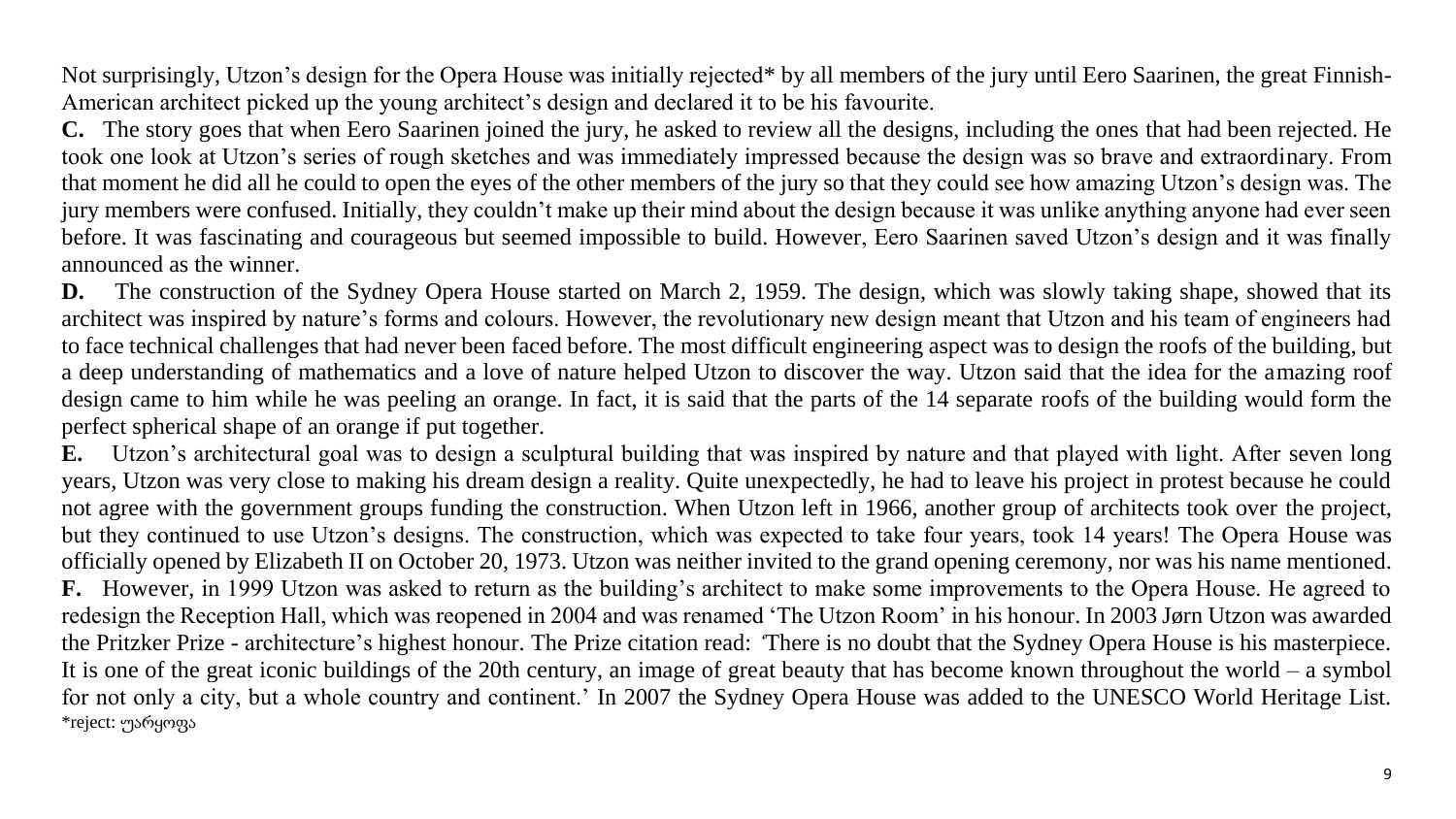Not surprisingly, Utzon's design for the Opera House was initially rejected\* by all members of the jury until Eero Saarinen, the great Finnish-American architect picked up the young architect's design and declared it to be his favourite.

**C.** The story goes that when Eero Saarinen joined the jury, he asked to review all the designs, including the ones that had been rejected. He took one look at Utzon's series of rough sketches and was immediately impressed because the design was so brave and extraordinary. From that moment he did all he could to open the eyes of the other members of the jury so that they could see how amazing Utzon's design was. The jury members were confused. Initially, they couldn't make up their mind about the design because it was unlike anything anyone had ever seen before. It was fascinating and courageous but seemed impossible to build. However, Eero Saarinen saved Utzon's design and it was finally announced as the winner.

**D.** The construction of the Sydney Opera House started on March 2, 1959. The design, which was slowly taking shape, showed that its architect was inspired by nature's forms and colours. However, the revolutionary new design meant that Utzon and his team of engineers had to face technical challenges that had never been faced before. The most difficult engineering aspect was to design the roofs of the building, but a deep understanding of mathematics and a love of nature helped Utzon to discover the way. Utzon said that the idea for the amazing roof design came to him while he was peeling an orange. In fact, it is said that the parts of the 14 separate roofs of the building would form the perfect spherical shape of an orange if put together.

**E.** Utzon's architectural goal was to design a sculptural building that was inspired by nature and that played with light. After seven long years, Utzon was very close to making his dream design a reality. Quite unexpectedly, he had to leave his project in protest because he could not agree with the government groups funding the construction. When Utzon left in 1966, another group of architects took over the project, but they continued to use Utzon's designs. The construction, which was expected to take four years, took 14 years! The Opera House was officially opened by Elizabeth II on October 20, 1973. Utzon was neither invited to the grand opening ceremony, nor was his name mentioned. **F.** However, in 1999 Utzon was asked to return as the building's architect to make some improvements to the Opera House. He agreed to redesign the Reception Hall, which was reopened in 2004 and was renamed 'The Utzon Room' in his honour. In 2003 Jørn Utzon was awarded the Pritzker Prize - architecture's highest honour. The Prize citation read: *'*There is no doubt that the Sydney Opera House is his masterpiece. It is one of the great iconic buildings of the 20th century, an image of great beauty that has become known throughout the world – a symbol for not only a city, but a whole country and continent.' In 2007 the Sydney Opera House was added to the UNESCO World Heritage List. \*reject: უარყოფა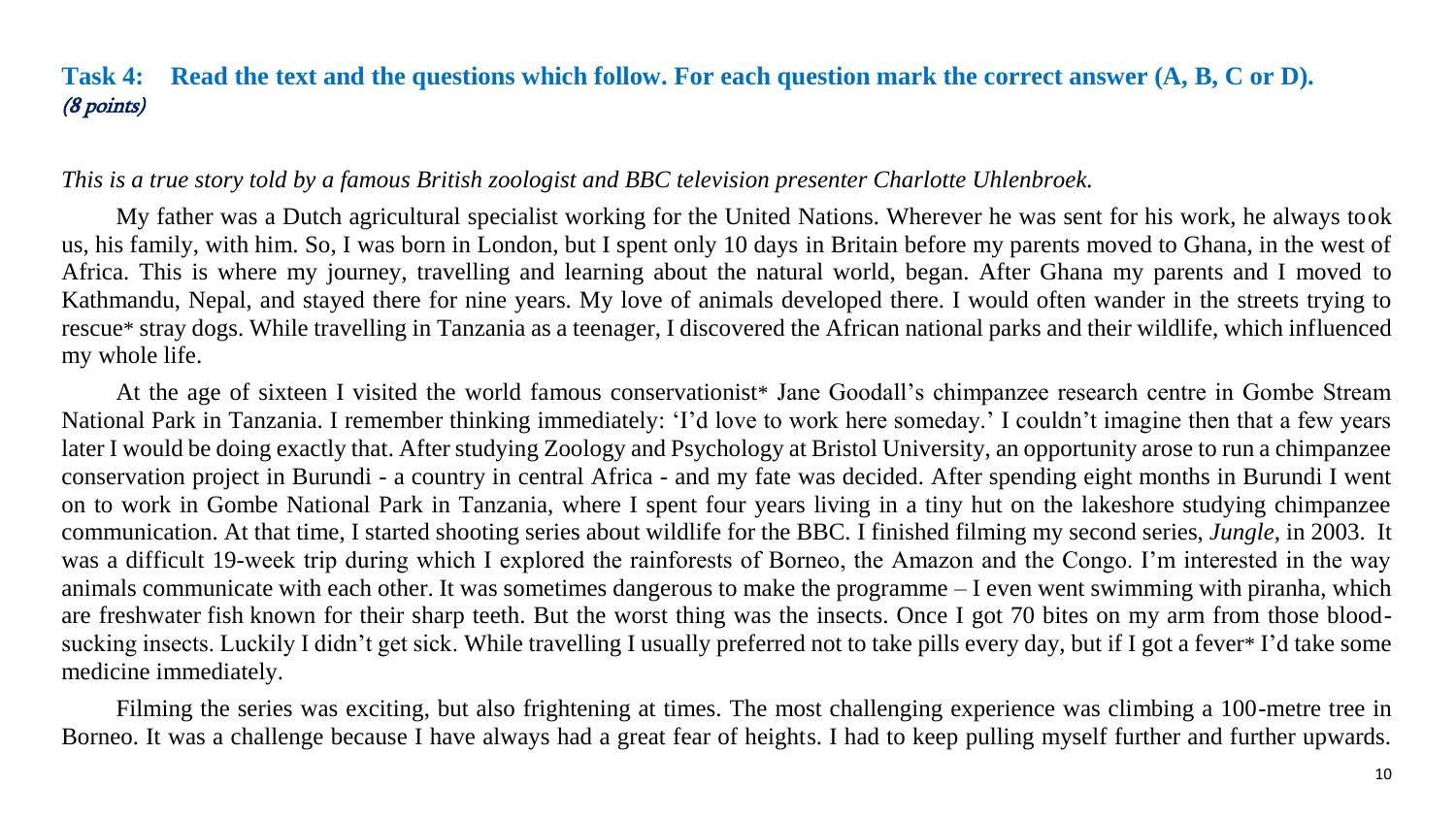#### <span id="page-10-0"></span>**Task 4: Read the text and the questions which follow. For each question mark the correct answer (A, B, C or D).** (8 points)

#### *This is a true story told by a famous British zoologist and BBC television presenter Charlotte Uhlenbroek.*

My father was a Dutch agricultural specialist working for the United Nations. Wherever he was sent for his work, he always took us, his family, with him. So, I was born in London, but I spent only 10 days in Britain before my parents moved to Ghana, in the west of Africa. This is where my journey, travelling and learning about the natural world, began. After Ghana my parents and I moved to Kathmandu, Nepal, and stayed there for nine years. My love of animals developed there. I would often wander in the streets trying to rescue\* stray dogs. While travelling in Tanzania as a teenager, I discovered the African national parks and their wildlife, which influenced my whole life.

At the age of sixteen I visited the world famous conservationist\* Jane Goodall's chimpanzee research centre in Gombe Stream National Park in Tanzania. I remember thinking immediately: 'I'd love to work here someday.' I couldn't imagine then that a few years later I would be doing exactly that. After studying Zoology and Psychology at Bristol University, an opportunity arose to run a chimpanzee conservation project in Burundi - a country in central Africa - and my fate was decided. After spending eight months in Burundi I went on to work in Gombe National Park in Tanzania, where I spent four years living in a tiny hut on the lakeshore studying chimpanzee communication. At that time, I started shooting series about wildlife for the BBC. I finished filming my second series, *Jungle,* in 2003. It was a difficult 19-week trip during which I explored the rainforests of Borneo, the Amazon and the Congo. I'm interested in the way animals communicate with each other. It was sometimes dangerous to make the programme – I even went swimming with piranha, which are freshwater fish known for their sharp teeth. But the worst thing was the insects. Once I got 70 bites on my arm from those bloodsucking insects. Luckily I didn't get sick. While travelling I usually preferred not to take pills every day, but if I got a fever\* I'd take some medicine immediately.

Filming the series was exciting, but also frightening at times. The most challenging experience was climbing a 100-metre tree in Borneo. It was a challenge because I have always had a great fear of heights. I had to keep pulling myself further and further upwards.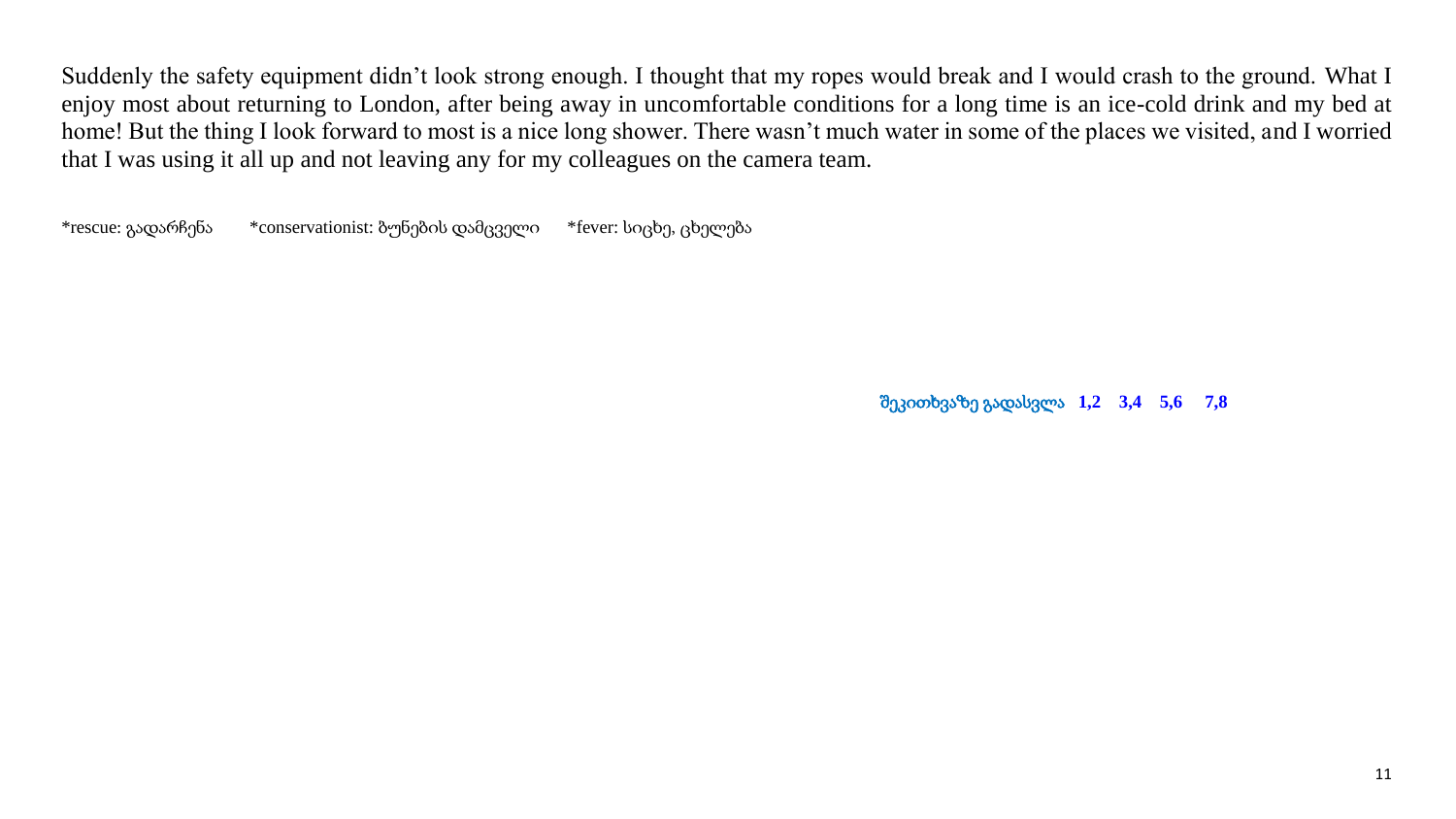Suddenly the safety equipment didn't look strong enough. I thought that my ropes would break and I would crash to the ground. What I enjoy most about returning to London, after being away in uncomfortable conditions for a long time is an ice-cold drink and my bed at home! But the thing I look forward to most is a nice long shower. There wasn't much water in some of the places we visited, and I worried that I was using it all up and not leaving any for my colleagues on the camera team.

\*rescue: გადარჩენა \*conservationist: ბუნების დამცველი \*fever: სიცხე, ცხელება

შეკითხვაზე გადასვლა **[1,2](#page-12-0) [3,4](#page-13-0) [5,6](#page-14-0) [7,8](#page-14-1)**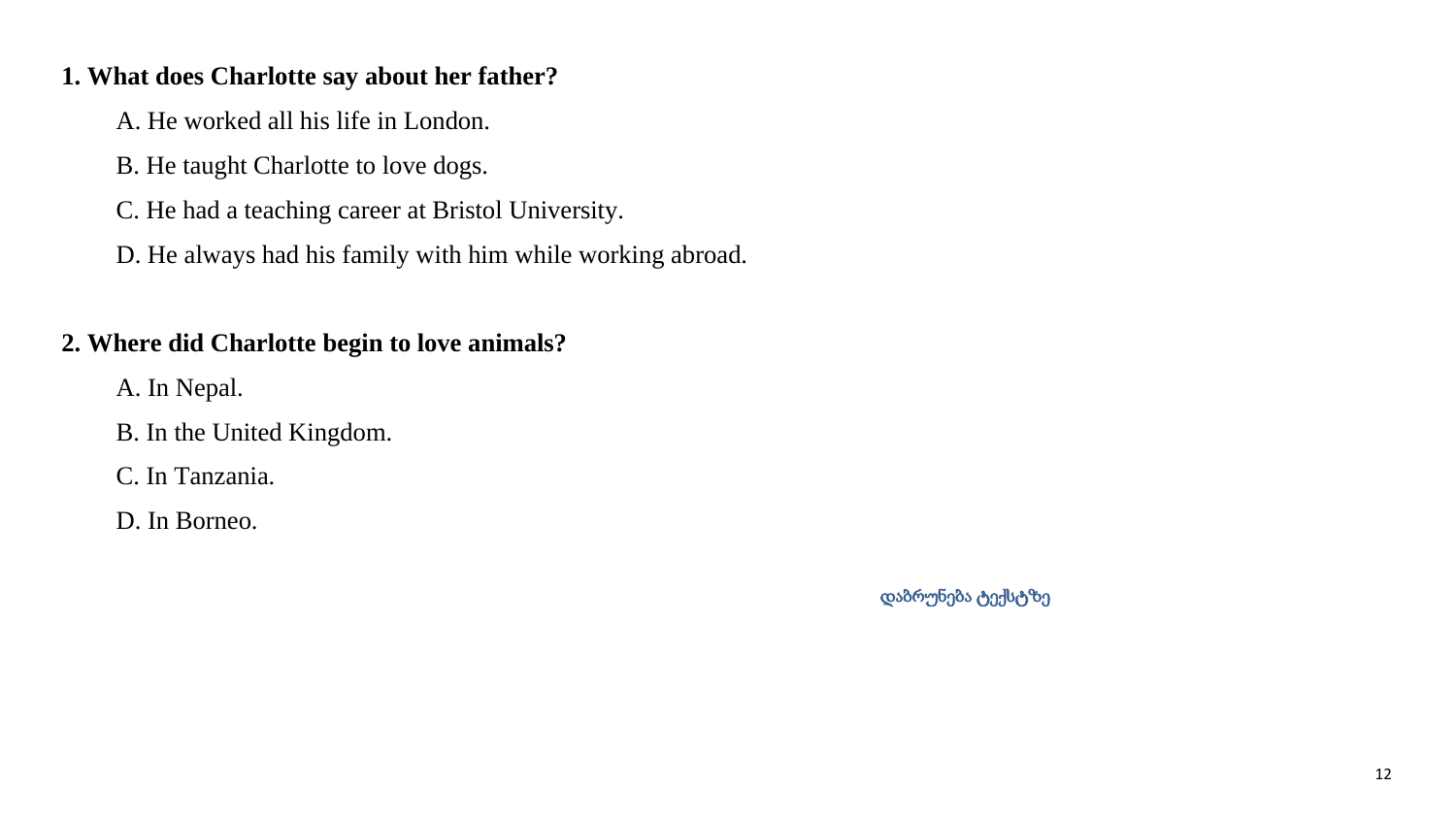#### <span id="page-12-0"></span>**1. What does Charlotte say about her father?**

A. He worked all his life in London.

B. He taught Charlotte to love dogs.

C. He had a teaching career at Bristol University.

D. He always had his family with him while working abroad.

### **2. Where did Charlotte begin to love animals?**

A. In Nepal.

B. In the United Kingdom.

C. In Tanzania.

D. In Borneo.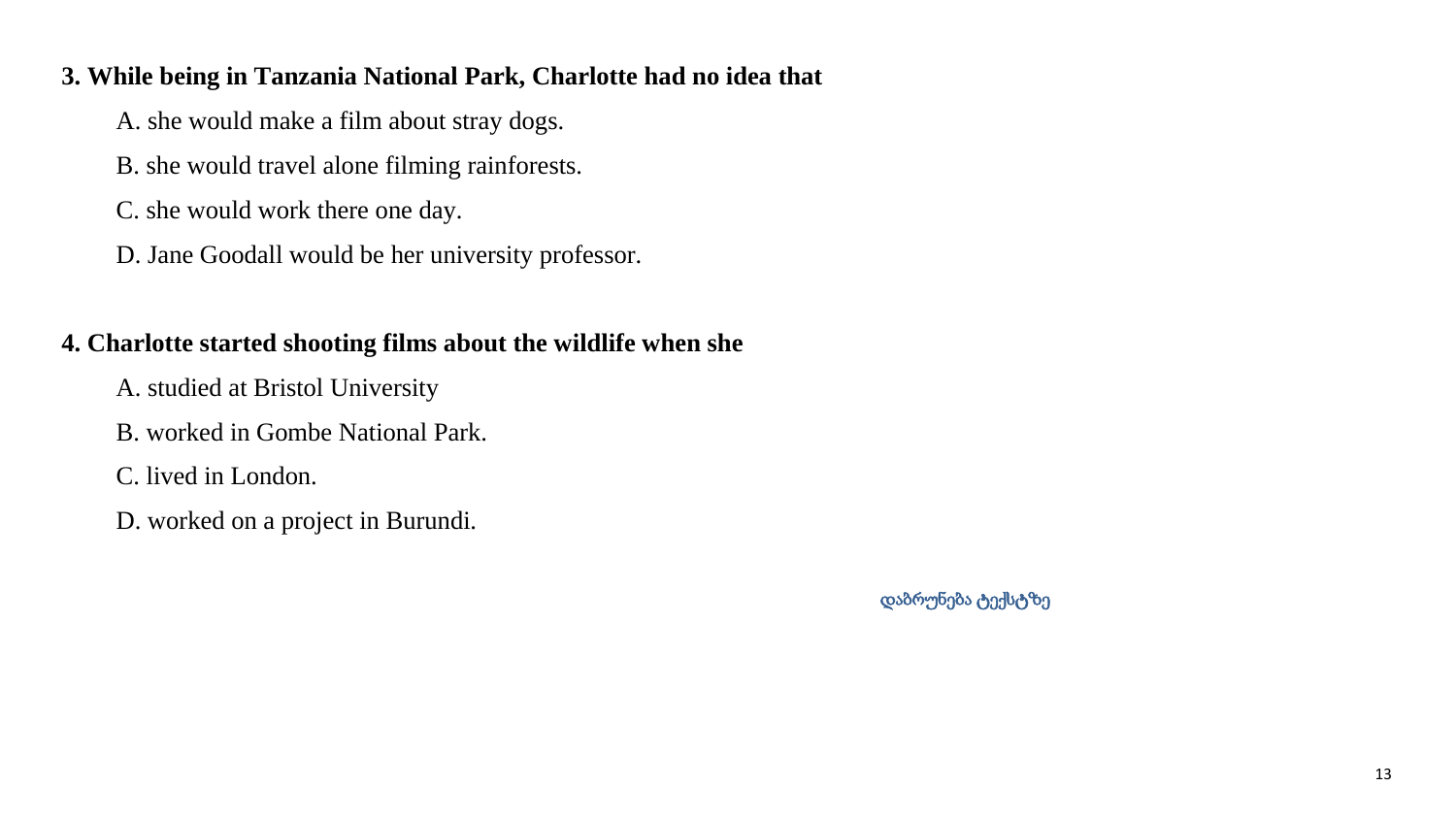#### <span id="page-13-0"></span>**3. While being in Tanzania National Park, Charlotte had no idea that**

A. she would make a film about stray dogs.

B. she would travel alone filming rainforests.

C. she would work there one day.

D. Jane Goodall would be her university professor.

### **4. Charlotte started shooting films about the wildlife when she**

A. studied at Bristol University

B. worked in Gombe National Park.

C. lived in London.

D. worked on a project in Burundi.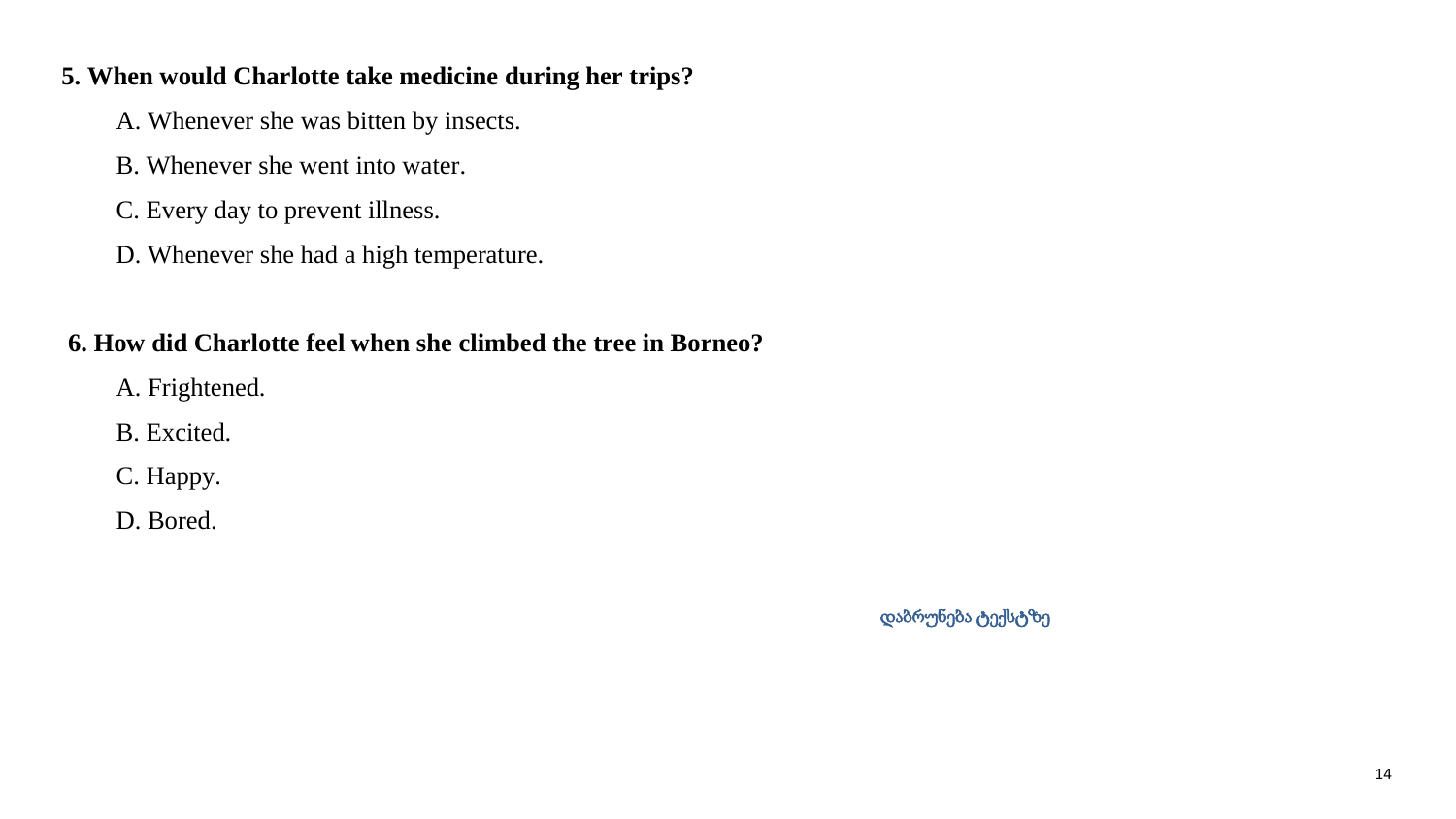#### <span id="page-14-0"></span>**5. When would Charlotte take medicine during her trips?**

A. Whenever she was bitten by insects.

- B. Whenever she went into water.
- C. Every day to prevent illness.
- D. Whenever she had a high temperature.

#### **6. How did Charlotte feel when she climbed the tree in Borneo?**

- A. Frightened.
- B. Excited.
- C. Happy.
- <span id="page-14-1"></span>D. Bored.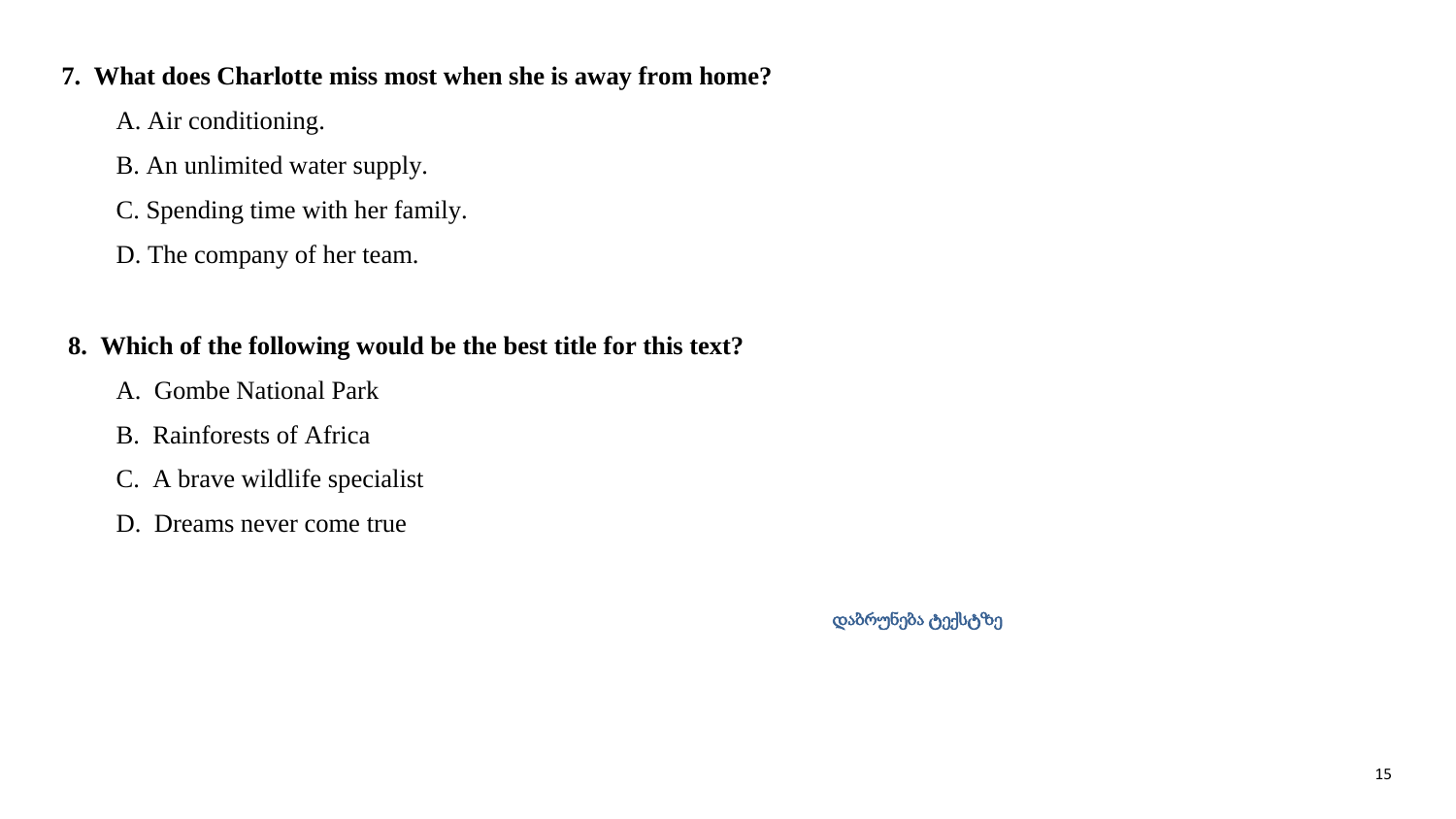#### **7. What does Charlotte miss most when she is away from home?**

- A. Air conditioning.
- B. An unlimited water supply.
- C. Spending time with her family.
- D. The company of her team.

### **8. Which of the following would be the best title for this text?**

- A. Gombe National Park
- B. Rainforests of Africa
- C. A brave wildlife specialist
- D. Dreams never come true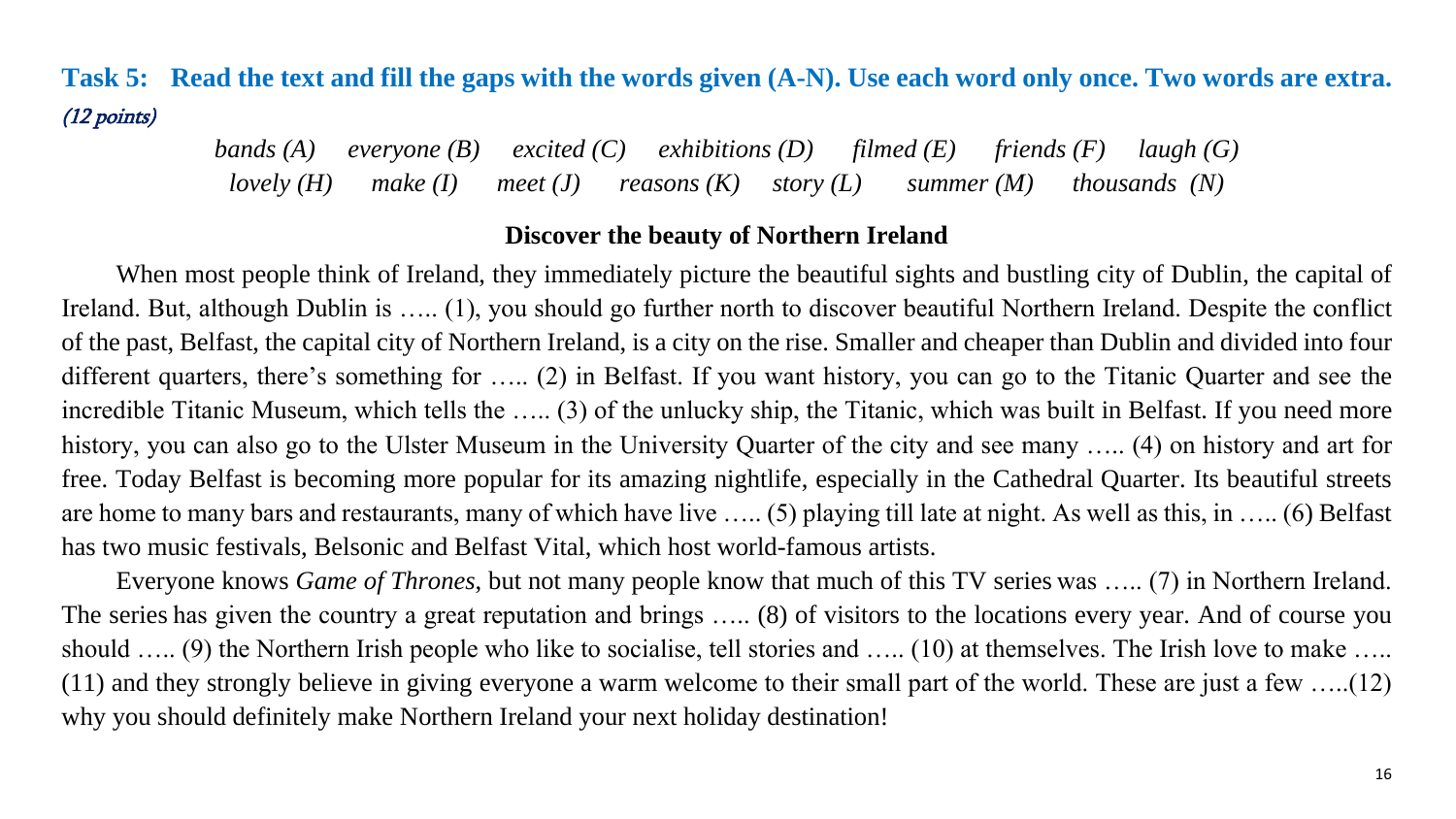# **Task 5: Read the text and fill the gaps with the words given (A-N). Use each word only once. Two words are extra.**  (12 points)

*bands (A) everyone (B) excited (C) exhibitions (D) filmed (E) friends (F) laugh (G) lovely (H) make (I) meet (J) reasons (K) story (L) summer (M) thousands (N)*

#### **Discover the beauty of Northern Ireland**

When most people think of Ireland, they immediately picture the beautiful sights and bustling city of Dublin, the capital of Ireland. But, although Dublin is ….. (1), you should go further north to discover beautiful Northern Ireland. Despite the conflict of the past, Belfast, the capital city of Northern Ireland, is a city on the rise. Smaller and cheaper than Dublin and divided into four different quarters, there's something for ….. (2) in Belfast. If you want history, you can go to the Titanic Quarter and see the incredible Titanic Museum, which tells the ….. (3) of the unlucky ship, the Titanic, which was built in Belfast. If you need more history, you can also go to the Ulster Museum in the University Quarter of the city and see many ….. (4) on history and art for free. Today Belfast is becoming more popular for its amazing nightlife, especially in the Cathedral Quarter. Its beautiful streets are home to many bars and restaurants, many of which have live ….. (5) playing till late at night. As well as this, in ….. (6) Belfast has two music festivals, Belsonic and Belfast Vital, which host world-famous artists.

Everyone knows *Game of Thrones*, but not many people know that much of this TV series was ….. (7) in Northern Ireland. The series has given the country a great reputation and brings ….. (8) of visitors to the locations every year. And of course you should ….. (9) the Northern Irish people who like to socialise, tell stories and ….. (10) at themselves. The Irish love to make ….. (11) and they strongly believe in giving everyone a warm welcome to their small part of the world. These are just a few …..(12) why you should definitely make Northern Ireland your next holiday destination!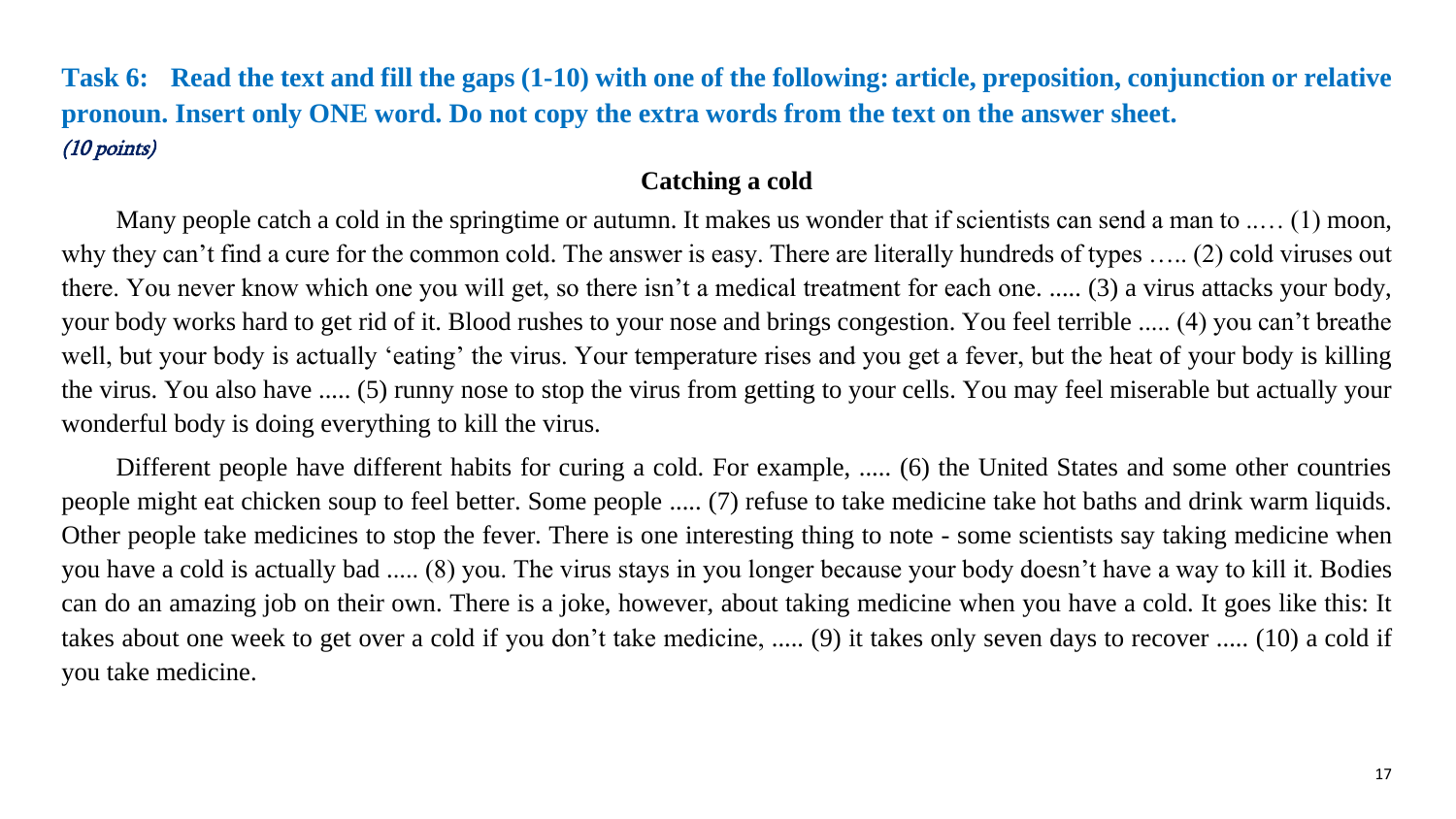## **Task 6: Read the text and fill the gaps (1-10) with one of the following: article, preposition, conjunction or relative pronoun. Insert only ONE word. Do not copy the extra words from the text on the answer sheet.** (10 points)

#### **Catching a cold**

Many people catch a cold in the springtime or autumn. It makes us wonder that if scientists can send a man to ..... (1) moon, why they can't find a cure for the common cold. The answer is easy. There are literally hundreds of types ….. (2) cold viruses out there. You never know which one you will get, so there isn't a medical treatment for each one. ..... (3) a virus attacks your body, your body works hard to get rid of it. Blood rushes to your nose and brings congestion. You feel terrible ..... (4) you can't breathe well, but your body is actually 'eating' the virus. Your temperature rises and you get a fever, but the heat of your body is killing the virus. You also have ..... (5) runny nose to stop the virus from getting to your cells. You may feel miserable but actually your wonderful body is doing everything to kill the virus.

Different people have different habits for curing a cold. For example, ..... (6) the United States and some other countries people might eat chicken soup to feel better. Some people ..... (7) refuse to take medicine take hot baths and drink warm liquids. Other people take medicines to stop the fever. There is one interesting thing to note - some scientists say taking medicine when you have a cold is actually bad ..... (8) you. The virus stays in you longer because your body doesn't have a way to kill it. Bodies can do an amazing job on their own. There is a joke, however, about taking medicine when you have a cold. It goes like this: It takes about one week to get over a cold if you don't take medicine, ..... (9) it takes only seven days to recover ..... (10) a cold if you take medicine.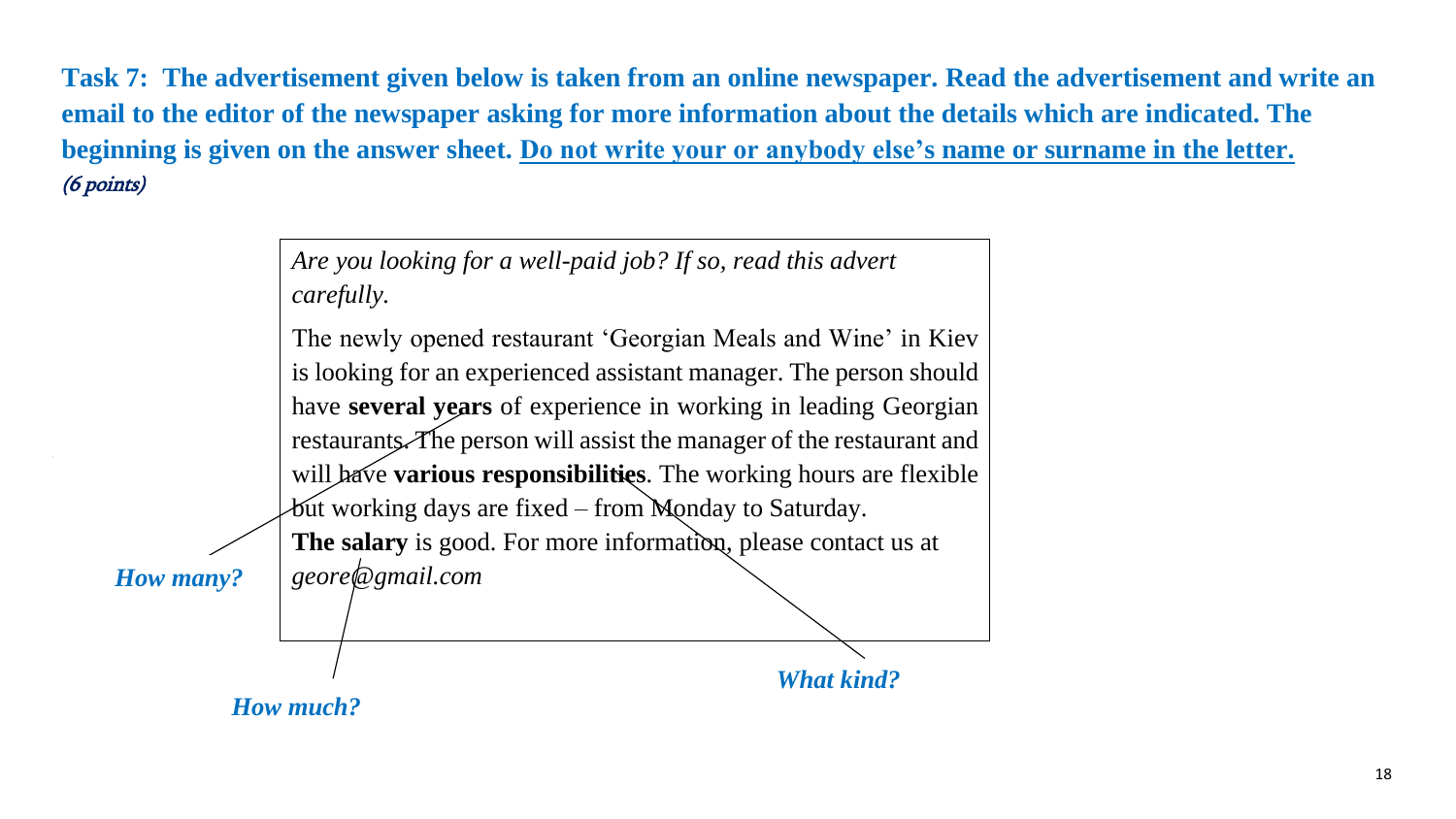**Task 7: The advertisement given below is taken from an online newspaper. Read the advertisement and write an email to the editor of the newspaper asking for more information about the details which are indicated. The beginning is given on the answer sheet. Do not write your or anybody else's name or surname in the letter.** (6 points)

> *Are you looking for a well-paid job? If so, read this advert carefully.*

The newly opened restaurant 'Georgian Meals and Wine' in Kiev is looking for an experienced assistant manager. The person should have **several years** of experience in working in leading Georgian restaurants. The person will assist the manager of the restaurant and will have **various responsibilities**. The working hours are flexible

*How many?*

*What kind?*  $\delta$ ut working days are fixed – from Monday to Saturday. **The salary** is good. For more information, please contact us at *geore@gmail.com*

 *How much?*